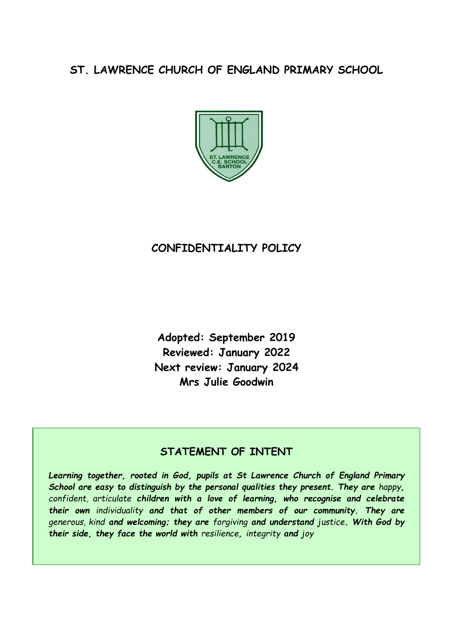# **ST. LAWRENCE CHURCH OF ENGLAND PRIMARY SCHOOL**



## **CONFIDENTIALITY POLICY**

**Adopted: September 2019 Reviewed: January 2022 Next review: January 2024 Mrs Julie Goodwin** 

### **STATEMENT OF INTENT**

*Learning together, rooted in God, pupils at St Lawrence Church of England Primary School are easy to distinguish by the personal qualities they present. They are happy, confident, articulate children with a love of learning, who recognise and celebrate their own individuality and that of other members of our community. They are generous, kind and welcoming; they are forgiving and understand justice. With God by their side, they face the world with resilience, integrity and joy*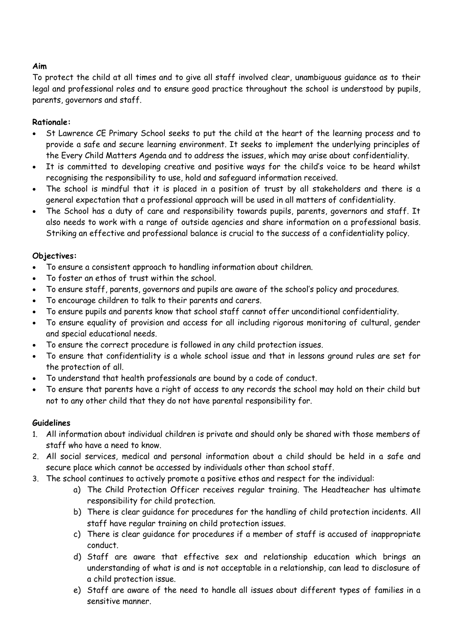#### **Aim**

To protect the child at all times and to give all staff involved clear, unambiguous guidance as to their legal and professional roles and to ensure good practice throughout the school is understood by pupils, parents, governors and staff.

#### **Rationale:**

- St Lawrence CE Primary School seeks to put the child at the heart of the learning process and to provide a safe and secure learning environment. It seeks to implement the underlying principles of the Every Child Matters Agenda and to address the issues, which may arise about confidentiality.
- It is committed to developing creative and positive ways for the child's voice to be heard whilst recognising the responsibility to use, hold and safeguard information received.
- The school is mindful that it is placed in a position of trust by all stakeholders and there is a general expectation that a professional approach will be used in all matters of confidentiality.
- The School has a duty of care and responsibility towards pupils, parents, governors and staff. It also needs to work with a range of outside agencies and share information on a professional basis. Striking an effective and professional balance is crucial to the success of a confidentiality policy.

#### **Objectives:**

- To ensure a consistent approach to handling information about children.
- To foster an ethos of trust within the school.
- To ensure staff, parents, governors and pupils are aware of the school's policy and procedures.
- To encourage children to talk to their parents and carers.
- To ensure pupils and parents know that school staff cannot offer unconditional confidentiality.
- To ensure equality of provision and access for all including rigorous monitoring of cultural, gender and special educational needs.
- To ensure the correct procedure is followed in any child protection issues.
- To ensure that confidentiality is a whole school issue and that in lessons ground rules are set for the protection of all.
- To understand that health professionals are bound by a code of conduct.
- To ensure that parents have a right of access to any records the school may hold on their child but not to any other child that they do not have parental responsibility for.

#### **Guidelines**

- 1. All information about individual children is private and should only be shared with those members of staff who have a need to know.
- 2. All social services, medical and personal information about a child should be held in a safe and secure place which cannot be accessed by individuals other than school staff.
- 3. The school continues to actively promote a positive ethos and respect for the individual:
	- a) The Child Protection Officer receives regular training. The Headteacher has ultimate responsibility for child protection.
	- b) There is clear guidance for procedures for the handling of child protection incidents. All staff have regular training on child protection issues.
	- c) There is clear guidance for procedures if a member of staff is accused of inappropriate conduct.
	- d) Staff are aware that effective sex and relationship education which brings an understanding of what is and is not acceptable in a relationship, can lead to disclosure of a child protection issue.
	- e) Staff are aware of the need to handle all issues about different types of families in a sensitive manner.